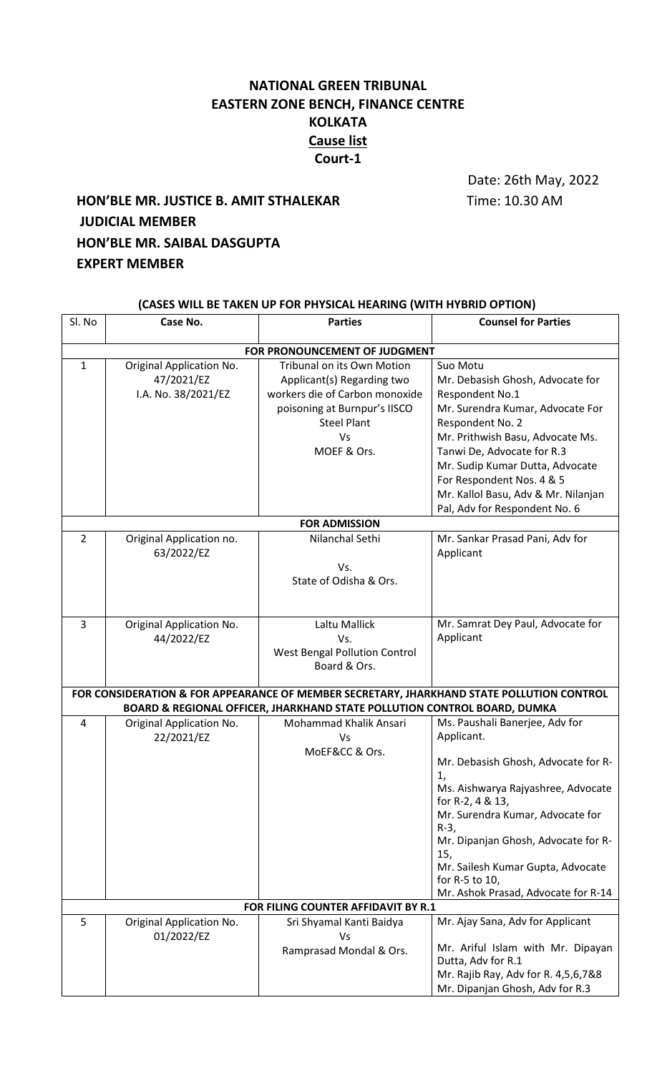## **NATIONAL GREEN TRIBUNAL EASTERN ZONE BENCH, FINANCE CENTRE KOLKATA Cause list Court-1**

Date: 26th May, 2022

# **HON'BLE MR. JUSTICE B. AMIT STHALEKAR** Time: 10.30 AM **JUDICIAL MEMBER HON'BLE MR. SAIBAL DASGUPTA EXPERT MEMBER**

## **(CASES WILL BE TAKEN UP FOR PHYSICAL HEARING (WITH HYBRID OPTION)**

| Sl. No                        | Case No.                 | <b>Parties</b>                                                           | <b>Counsel for Parties</b>                                                                |  |  |
|-------------------------------|--------------------------|--------------------------------------------------------------------------|-------------------------------------------------------------------------------------------|--|--|
| FOR PRONOUNCEMENT OF JUDGMENT |                          |                                                                          |                                                                                           |  |  |
| $\mathbf{1}$                  | Original Application No. | Tribunal on its Own Motion                                               | Suo Motu                                                                                  |  |  |
|                               | 47/2021/EZ               | Applicant(s) Regarding two                                               | Mr. Debasish Ghosh, Advocate for                                                          |  |  |
|                               | I.A. No. 38/2021/EZ      | workers die of Carbon monoxide                                           | Respondent No.1                                                                           |  |  |
|                               |                          | poisoning at Burnpur's IISCO                                             | Mr. Surendra Kumar, Advocate For                                                          |  |  |
|                               |                          | <b>Steel Plant</b>                                                       | Respondent No. 2                                                                          |  |  |
|                               |                          | Vs                                                                       | Mr. Prithwish Basu, Advocate Ms.                                                          |  |  |
|                               |                          | MOEF & Ors.                                                              | Tanwi De, Advocate for R.3                                                                |  |  |
|                               |                          |                                                                          | Mr. Sudip Kumar Dutta, Advocate                                                           |  |  |
|                               |                          |                                                                          | For Respondent Nos. 4 & 5                                                                 |  |  |
|                               |                          |                                                                          | Mr. Kallol Basu, Adv & Mr. Nilanjan                                                       |  |  |
|                               |                          |                                                                          | Pal, Adv for Respondent No. 6                                                             |  |  |
|                               |                          | <b>FOR ADMISSION</b>                                                     |                                                                                           |  |  |
| $\overline{2}$                | Original Application no. | Nilanchal Sethi                                                          | Mr. Sankar Prasad Pani, Adv for                                                           |  |  |
|                               | 63/2022/EZ               |                                                                          | Applicant                                                                                 |  |  |
|                               |                          | Vs.                                                                      |                                                                                           |  |  |
|                               |                          | State of Odisha & Ors.                                                   |                                                                                           |  |  |
|                               |                          |                                                                          |                                                                                           |  |  |
| 3                             | Original Application No. | Laltu Mallick                                                            | Mr. Samrat Dey Paul, Advocate for                                                         |  |  |
|                               | 44/2022/EZ               | Vs.                                                                      | Applicant                                                                                 |  |  |
|                               |                          | West Bengal Pollution Control                                            |                                                                                           |  |  |
|                               |                          | Board & Ors.                                                             |                                                                                           |  |  |
|                               |                          |                                                                          |                                                                                           |  |  |
|                               |                          |                                                                          | FOR CONSIDERATION & FOR APPEARANCE OF MEMBER SECRETARY, JHARKHAND STATE POLLUTION CONTROL |  |  |
|                               |                          | BOARD & REGIONAL OFFICER, JHARKHAND STATE POLLUTION CONTROL BOARD, DUMKA |                                                                                           |  |  |
| 4                             | Original Application No. | Mohammad Khalik Ansari                                                   | Ms. Paushali Banerjee, Adv for<br>Applicant.                                              |  |  |
|                               | 22/2021/EZ               | Vs<br>MoEF&CC & Ors.                                                     |                                                                                           |  |  |
|                               |                          |                                                                          | Mr. Debasish Ghosh, Advocate for R-                                                       |  |  |
|                               |                          |                                                                          | 1,                                                                                        |  |  |
|                               |                          |                                                                          | Ms. Aishwarya Rajyashree, Advocate                                                        |  |  |
|                               |                          |                                                                          | for R-2, 4 & 13,                                                                          |  |  |
|                               |                          |                                                                          | Mr. Surendra Kumar, Advocate for                                                          |  |  |
|                               |                          |                                                                          | $R-3$<br>Mr. Dipanjan Ghosh, Advocate for R-                                              |  |  |
|                               |                          |                                                                          | 15,                                                                                       |  |  |
|                               |                          |                                                                          | Mr. Sailesh Kumar Gupta, Advocate                                                         |  |  |
|                               |                          |                                                                          | for R-5 to 10,                                                                            |  |  |
|                               |                          |                                                                          | Mr. Ashok Prasad, Advocate for R-14                                                       |  |  |
|                               |                          | FOR FILING COUNTER AFFIDAVIT BY R.1                                      |                                                                                           |  |  |
| 5                             | Original Application No. | Sri Shyamal Kanti Baidya                                                 | Mr. Ajay Sana, Adv for Applicant                                                          |  |  |
|                               | 01/2022/EZ               | Vs                                                                       | Mr. Ariful Islam with Mr. Dipayan                                                         |  |  |
|                               |                          | Ramprasad Mondal & Ors.                                                  | Dutta, Adv for R.1                                                                        |  |  |
|                               |                          |                                                                          | Mr. Rajib Ray, Adv for R. 4,5,6,7&8                                                       |  |  |
|                               |                          |                                                                          | Mr. Dipanjan Ghosh, Adv for R.3                                                           |  |  |
|                               |                          |                                                                          |                                                                                           |  |  |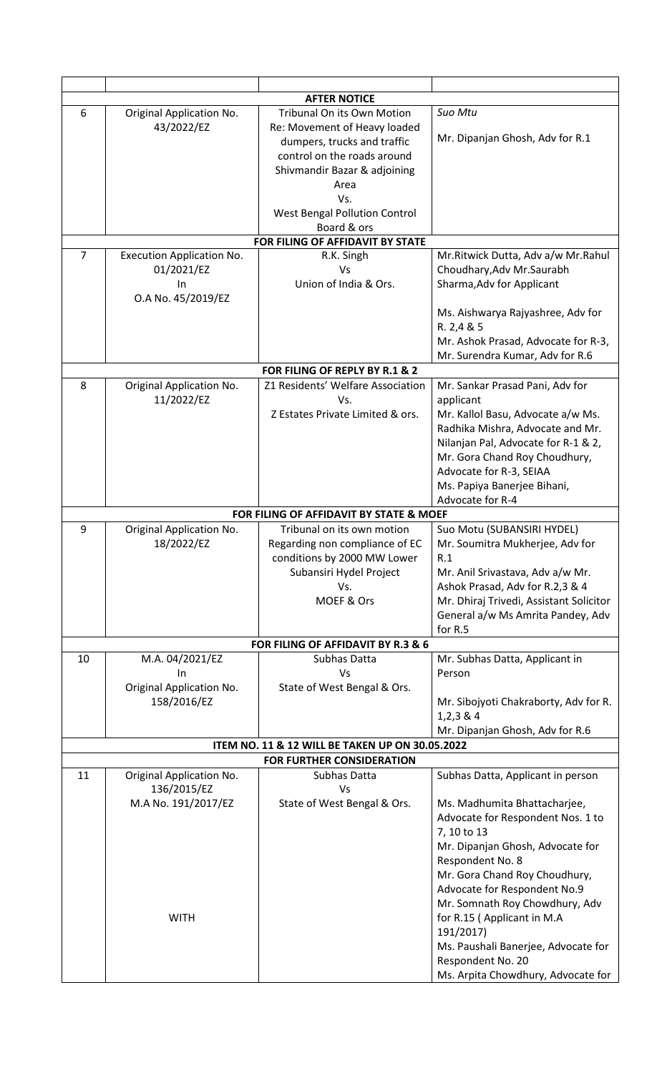|                |                                  | <b>AFTER NOTICE</b>                             |                                         |
|----------------|----------------------------------|-------------------------------------------------|-----------------------------------------|
| 6              | Original Application No.         | <b>Tribunal On its Own Motion</b>               | Suo Mtu                                 |
|                | 43/2022/EZ                       | Re: Movement of Heavy loaded                    |                                         |
|                |                                  | dumpers, trucks and traffic                     | Mr. Dipanjan Ghosh, Adv for R.1         |
|                |                                  | control on the roads around                     |                                         |
|                |                                  | Shivmandir Bazar & adjoining                    |                                         |
|                |                                  | Area                                            |                                         |
|                |                                  | Vs.                                             |                                         |
|                |                                  |                                                 |                                         |
|                |                                  | West Bengal Pollution Control                   |                                         |
|                |                                  | Board & ors                                     |                                         |
|                |                                  | FOR FILING OF AFFIDAVIT BY STATE                |                                         |
| $\overline{7}$ | <b>Execution Application No.</b> | R.K. Singh                                      | Mr. Ritwick Dutta, Adv a/w Mr. Rahul    |
|                | 01/2021/EZ                       | Vs                                              | Choudhary, Adv Mr. Saurabh              |
|                | In                               | Union of India & Ors.                           | Sharma, Adv for Applicant               |
|                | O.A No. 45/2019/EZ               |                                                 |                                         |
|                |                                  |                                                 | Ms. Aishwarya Rajyashree, Adv for       |
|                |                                  |                                                 | R. 2,4 & 5                              |
|                |                                  |                                                 | Mr. Ashok Prasad, Advocate for R-3,     |
|                |                                  |                                                 | Mr. Surendra Kumar, Adv for R.6         |
|                |                                  | FOR FILING OF REPLY BY R.1 & 2                  |                                         |
| 8              | Original Application No.         | Z1 Residents' Welfare Association               | Mr. Sankar Prasad Pani, Adv for         |
|                | 11/2022/EZ                       | Vs.                                             | applicant                               |
|                |                                  | Z Estates Private Limited & ors.                | Mr. Kallol Basu, Advocate a/w Ms.       |
|                |                                  |                                                 | Radhika Mishra, Advocate and Mr.        |
|                |                                  |                                                 | Nilanjan Pal, Advocate for R-1 & 2,     |
|                |                                  |                                                 | Mr. Gora Chand Roy Choudhury,           |
|                |                                  |                                                 | Advocate for R-3, SEIAA                 |
|                |                                  |                                                 | Ms. Papiya Banerjee Bihani,             |
|                |                                  |                                                 | Advocate for R-4                        |
|                |                                  |                                                 |                                         |
|                |                                  | FOR FILING OF AFFIDAVIT BY STATE & MOEF         |                                         |
| 9              | Original Application No.         | Tribunal on its own motion                      | Suo Motu (SUBANSIRI HYDEL)              |
|                | 18/2022/EZ                       | Regarding non compliance of EC                  | Mr. Soumitra Mukherjee, Adv for         |
|                |                                  | conditions by 2000 MW Lower                     | R.1                                     |
|                |                                  | Subansiri Hydel Project                         | Mr. Anil Srivastava, Adv a/w Mr.        |
|                |                                  | Vs.                                             | Ashok Prasad, Adv for R.2,3 & 4         |
|                |                                  | MOEF & Ors                                      | Mr. Dhiraj Trivedi, Assistant Solicitor |
|                |                                  |                                                 | General a/w Ms Amrita Pandey, Adv       |
|                |                                  |                                                 | for R.5                                 |
|                |                                  | FOR FILING OF AFFIDAVIT BY R.3 & 6              |                                         |
| 10             | M.A. 04/2021/EZ                  | Subhas Datta                                    | Mr. Subhas Datta, Applicant in          |
|                | In                               | Vs                                              | Person                                  |
|                | Original Application No.         | State of West Bengal & Ors.                     |                                         |
|                | 158/2016/EZ                      |                                                 | Mr. Sibojyoti Chakraborty, Adv for R.   |
|                |                                  |                                                 | $1,2,3$ & 4                             |
|                |                                  |                                                 | Mr. Dipanjan Ghosh, Adv for R.6         |
|                |                                  | ITEM NO. 11 & 12 WILL BE TAKEN UP ON 30.05.2022 |                                         |
|                |                                  | <b>FOR FURTHER CONSIDERATION</b>                |                                         |
| 11             | Original Application No.         | Subhas Datta                                    | Subhas Datta, Applicant in person       |
|                | 136/2015/EZ                      | Vs                                              |                                         |
|                | M.A No. 191/2017/EZ              | State of West Bengal & Ors.                     | Ms. Madhumita Bhattacharjee,            |
|                |                                  |                                                 |                                         |
|                |                                  |                                                 | Advocate for Respondent Nos. 1 to       |
|                |                                  |                                                 | 7, 10 to 13                             |
|                |                                  |                                                 | Mr. Dipanjan Ghosh, Advocate for        |
|                |                                  |                                                 | Respondent No. 8                        |
|                |                                  |                                                 | Mr. Gora Chand Roy Choudhury,           |
|                |                                  |                                                 | Advocate for Respondent No.9            |
|                |                                  |                                                 | Mr. Somnath Roy Chowdhury, Adv          |
|                | <b>WITH</b>                      |                                                 | for R.15 (Applicant in M.A              |
|                |                                  |                                                 | 191/2017)                               |
|                |                                  |                                                 | Ms. Paushali Banerjee, Advocate for     |
|                |                                  |                                                 | Respondent No. 20                       |
|                |                                  |                                                 | Ms. Arpita Chowdhury, Advocate for      |